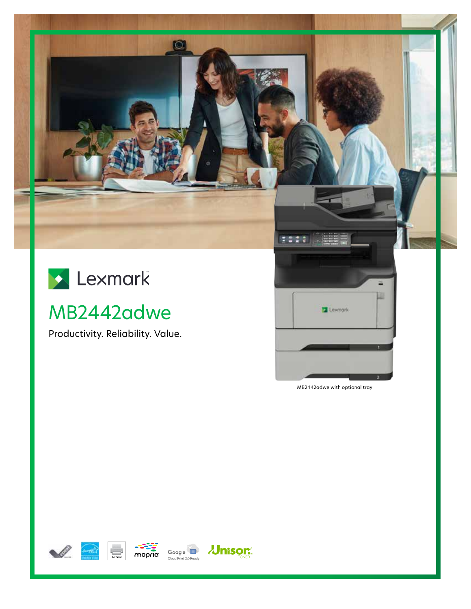



# MB2442adwe

Productivity. Reliability. Value.



MB2442adwe with optional tray







**Jnisor®**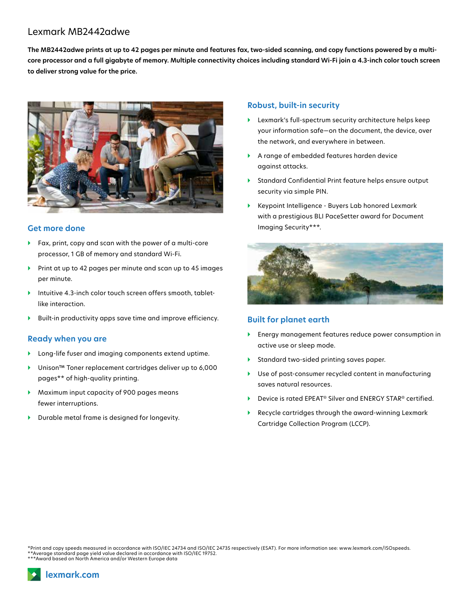# Lexmark MB2442adwe

**The MB2442adwe prints at up to 42 pages per minute and features fax, two-sided scanning, and copy functions powered by a multicore processor and a full gigabyte of memory. Multiple connectivity choices including standard Wi-Fi join a 4.3-inch color touch screen to deliver strong value for the price.**



### **Get more done**

- } Fax, print, copy and scan with the power of a multi-core processor, 1 GB of memory and standard Wi-Fi.
- ▶ Print at up to 42 pages per minute and scan up to 45 images per minute.
- } Intuitive 4.3-inch color touch screen offers smooth, tabletlike interaction.
- Built-in productivity apps save time and improve efficiency.

#### **Ready when you are**

- } Long-life fuser and imaging components extend uptime.
- } Unison™ Toner replacement cartridges deliver up to 6,000 pages\*\* of high-quality printing.
- } Maximum input capacity of 900 pages means fewer interruptions.
- } Durable metal frame is designed for longevity.

#### **Robust, built-in security**

- } Lexmark's full-spectrum security architecture helps keep your information safe—on the document, the device, over the network, and everywhere in between.
- } A range of embedded features harden device against attacks.
- } Standard Confidential Print feature helps ensure output security via simple PIN.
- } Keypoint Intelligence Buyers Lab honored Lexmark with a prestigious BLI PaceSetter award for Document Imaging Security\*\*\*.



### **Built for planet earth**

- } Energy management features reduce power consumption in active use or sleep mode.
- } Standard two-sided printing saves paper.
- } Use of post-consumer recycled content in manufacturing saves natural resources.
- ▶ Device is rated EPEAT<sup>®</sup> Silver and ENERGY STAR<sup>®</sup> certified.
- } Recycle cartridges through the award-winning Lexmark Cartridge Collection Program (LCCP).

\*Print and copy speeds measured in accordance with ISO/IEC 24734 and ISO/IEC 24735 respectively (ESAT). For more information see: www.lexmark.com/ISOspeeds. \*\*Average standard page yield value declared in accordance with ISO/IEC 19752. \*\*\*Award based on North America and/or Western Europe data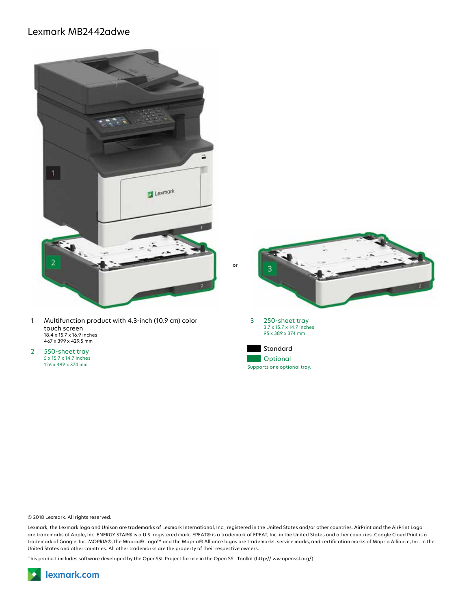## Lexmark MB2442adwe



© 2018 Lexmark. All rights reserved.

Lexmark, the Lexmark logo and Unison are trademarks of Lexmark International, Inc., registered in the United States and/or other countries. AirPrint and the AirPrint Logo are trademarks of Apple, Inc. ENERGY STAR® is a U.S. registered mark. EPEAT® is a trademark of EPEAT, Inc. in the United States and other countries. Google Cloud Print is a trademark of Google, Inc. MOPRIA®, the Mopria® Logo™ and the Mopria® Alliance logos are trademarks, service marks, and certification marks of Mopria Alliance, Inc. in the United States and other countries. All other trademarks are the property of their respective owners.

This product includes software developed by the OpenSSL Project for use in the Open SSL Toolkit (http:// ww.openssl.org/).